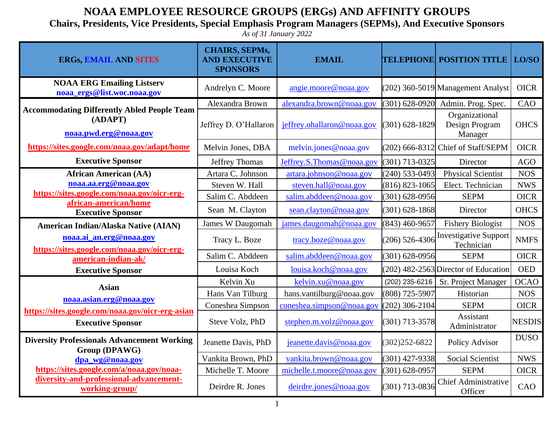## **NOAA EMPLOYEE RESOURCE GROUPS (ERGs) AND AFFINITY GROUPS**

## **Chairs, Presidents, Vice Presidents, Special Emphasis Program Managers (SEPMs), And Executive Sponsors**

*As of 31 January 2022*

| <b>ERGs, EMAIL AND SITES</b>                                                           | <b>CHAIRS, SEPMs,</b><br><b>AND EXECUTIVE</b><br><b>SPONSORS</b> | <b>EMAIL</b>               |                    | <b>TELEPHONE POSITION TITLE   LO/SO</b>     |               |
|----------------------------------------------------------------------------------------|------------------------------------------------------------------|----------------------------|--------------------|---------------------------------------------|---------------|
| <b>NOAA ERG Emailing Listserv</b><br>noaa_ergs@list.woc.noaa.gov                       | Andrelyn C. Moore                                                | angie.moore@noaa.gov       |                    | (202) 360-5019 Management Analyst           | <b>OICR</b>   |
| <b>Accommodating Differently Abled People Team</b><br>(ADAPT)<br>noaa.pwd.erg@noaa.gov | Alexandra Brown                                                  | alexandra.brown@noaa.gov   | $(301) 628 - 0920$ | Admin. Prog. Spec.                          | CAO           |
|                                                                                        | Jeffrey D. O'Hallaron                                            | jeffrey.ohallaron@noaa.gov | $(301) 628 - 1829$ | Organizational<br>Design Program<br>Manager | <b>OHCS</b>   |
| https://sites.google.com/noaa.gov/adapt/home                                           | Melvin Jones, DBA                                                | melvin.jones@noaa.gov      | $(202)$ 666-8312   | Chief of Staff/SEPM                         | <b>OICR</b>   |
| <b>Executive Sponsor</b>                                                               | <b>Jeffrey Thomas</b>                                            | Jeffrey.S.Thomas@noaa.gov  | (301) 713-0325     | Director                                    | <b>AGO</b>    |
| <b>African American (AA)</b>                                                           | Artara C. Johnson                                                | artara.johnson@noaa.gov    | $(240)$ 533-0493   | <b>Physical Scientist</b>                   | <b>NOS</b>    |
| noaa.aa.erg@noaa.gov                                                                   | Steven W. Hall                                                   | steven.hall@noaa.gov       | $(816)$ 823-1065   | Elect. Technician                           | <b>NWS</b>    |
| https://sites.google.com/noaa.gov/oicr-erg-                                            | Salim C. Abddeen                                                 | salim.abddeen@noaa.gov     | $(301) 628 - 0956$ | <b>SEPM</b>                                 | <b>OICR</b>   |
| african-american/home<br><b>Executive Sponsor</b>                                      | Sean M. Clayton                                                  | sean.clayton@noaa.gov      | $(301) 628 - 1868$ | Director                                    | <b>OHCS</b>   |
| American Indian/Alaska Native (AIAN)                                                   | <b>James W Daugomah</b>                                          | james.daugomah@noaa.gov    | $(843)$ 460-9657   | <b>Fishery Biologist</b>                    | <b>NOS</b>    |
| noaa.ai_an.erg@noaa.gov<br>https://sites.google.com/noaa.gov/oicr-erg-                 | Tracy L. Boze                                                    | tracy.boze@noaa.gov        | $(206)$ 526-4306   | <b>Investigative Support</b><br>Technician  | <b>NMFS</b>   |
| american-indian-ak/                                                                    | Salim C. Abddeen                                                 | salim.abddeen@noaa.gov     | $(301) 628 - 0956$ | <b>SEPM</b>                                 | <b>OICR</b>   |
| <b>Executive Sponsor</b>                                                               | Louisa Koch                                                      | louisa.koch@noaa.gov       |                    | $(202)$ 482-2563 Director of Education      | <b>OED</b>    |
| <b>Asian</b>                                                                           | Kelvin Xu                                                        | kelvin.xu@noaa.gov         | (202) 235-6216     | Sr. Project Manager                         | <b>OCAO</b>   |
| noaa.asian.erg@noaa.gov                                                                | Hans Van Tilburg                                                 | hans.vantilburg@noaa.gov   | (808) 725-5907     | Historian                                   | <b>NOS</b>    |
| https://sites.google.com/noaa.gov/oicr-erg-asian                                       | Coneshea Simpson                                                 | coneshea.simpson@noaa.gov  | $(202)$ 306-2104   | <b>SEPM</b>                                 | <b>OICR</b>   |
| <b>Executive Sponsor</b>                                                               | Steve Volz, PhD                                                  | stephen.m.volz@noaa.gov    | $(301)$ 713-3578   | Assistant<br>Administrator                  | <b>NESDIS</b> |
| <b>Diversity Professionals Advancement Working</b><br>Group (DPAWG)                    | Jeanette Davis, PhD                                              | jeanette.davis@noaa.gov    | $(302)252 - 6822$  | Policy Advisor                              | <b>DUSO</b>   |
| dpa_wg@noaa.gov                                                                        | Vankita Brown, PhD                                               | vankita.brown@noaa.gov     | $(301)$ 427-9338   | <b>Social Scientist</b>                     | <b>NWS</b>    |
| https://sites.google.com/a/noaa.gov/noaa-                                              | Michelle T. Moore                                                | michelle.t.moore@noaa.gov  | $(301) 628 - 0957$ | <b>SEPM</b>                                 | <b>OICR</b>   |
| diversity-and-professional-advancement-<br>working-group/                              | Deirdre R. Jones                                                 | deirdre.jones@noaa.gov     | $(301)$ 713-0836   | <b>Chief Administrative</b><br>Officer      | CAO           |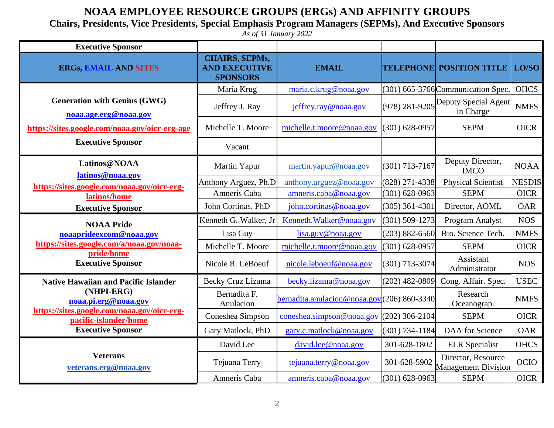## **NOAA EMPLOYEE RESOURCE GROUPS (ERGs) AND AFFINITY GROUPS**

**Chairs, Presidents, Vice Presidents, Special Emphasis Program Managers (SEPMs), And Executive Sponsors**

*As of 31 January 2022*

| <b>Executive Sponsor</b>                                                                                                                                                              |                                                                  |                                               |                    |                                                  |               |
|---------------------------------------------------------------------------------------------------------------------------------------------------------------------------------------|------------------------------------------------------------------|-----------------------------------------------|--------------------|--------------------------------------------------|---------------|
| <b>ERGs, EMAIL AND SITES</b>                                                                                                                                                          | <b>CHAIRS, SEPMs,</b><br><b>AND EXECUTIVE</b><br><b>SPONSORS</b> | <b>EMAIL</b>                                  |                    | <b>TELEPHONE POSITION TITLE LO/SO</b>            |               |
|                                                                                                                                                                                       | Maria Krug                                                       | maria.c.krug@noaa.gov                         |                    | $(301)$ 665-3766 Communication Spec.             | <b>OHCS</b>   |
| <b>Generation with Genius (GWG)</b><br>noaa.age.erg@noaa.gov<br>https://sites.google.com/noaa.gov/oicr-erg-age                                                                        | Jeffrey J. Ray                                                   | jeffrey.ray@noaa.gov                          | $(978)$ 281-9205   | Deputy Special Agent<br>in Charge                | <b>NMFS</b>   |
|                                                                                                                                                                                       | Michelle T. Moore                                                | michelle.t.moore@noaa.gov                     | $(301) 628 - 0957$ | <b>SEPM</b>                                      | <b>OICR</b>   |
| <b>Executive Sponsor</b>                                                                                                                                                              | Vacant                                                           |                                               |                    |                                                  |               |
| Latinos@NOAA<br>latinos@noaa.gov                                                                                                                                                      | Martin Yapur                                                     | martin.yapur@noaa.gov                         | $(301)$ 713-7167   | Deputy Director,<br><b>IMCO</b>                  | <b>NOAA</b>   |
| https://sites.google.com/noaa.gov/oicr-erg-                                                                                                                                           | Anthony Arguez, Ph.D                                             | anthony.arguez@noaa.gov                       | (828) 271-4338     | <b>Physical Scientist</b>                        | <b>NESDIS</b> |
| latinos/home<br><b>Executive Sponsor</b>                                                                                                                                              | Amneris Caba                                                     | amneris.caba@noaa.gov                         | $(301) 628 - 0963$ | <b>SEPM</b>                                      | <b>OICR</b>   |
|                                                                                                                                                                                       | John Cortinas, PhD                                               | john.cortinas@noaa.gov                        | $(305)$ 361-4301   | Director, AOML                                   | <b>OAR</b>    |
| <b>NOAA Pride</b><br>noaaprideexcom@noaa.gov<br>https://sites.google.com/a/noaa.gov/noaa-<br>pride/home<br><b>Executive Sponsor</b>                                                   | Kenneth G. Walker, Jr                                            | Kenneth. Walker@noaa.gov                      | $(301) 509 - 1273$ | Program Analyst                                  | <b>NOS</b>    |
|                                                                                                                                                                                       | Lisa Guy                                                         | lisa.guy@noaa.gov                             | $(203) 882 - 6560$ | Bio. Science Tech.                               | <b>NMFS</b>   |
|                                                                                                                                                                                       | Michelle T. Moore                                                | michelle.t.moore@noaa.gov                     | $(301) 628 - 0957$ | <b>SEPM</b>                                      | <b>OICR</b>   |
|                                                                                                                                                                                       | Nicole R. LeBoeuf                                                | nicole.leboeuf@noaa.gov                       | $(301)$ 713-3074   | Assistant<br>Administrator                       | <b>NOS</b>    |
| <b>Native Hawaiian and Pacific Islander</b><br>(NHPI-ERG)<br>noaa.pi.erg@noaa.gov<br>https://sites.google.com/noaa.gov/oicr-erg-<br>pacific-islander/home<br><b>Executive Sponsor</b> | <b>Becky Cruz Lizama</b>                                         | becky.lizama@noaa.gov                         | $(202)$ 482-0809   | Cong. Affair. Spec.                              | <b>USEC</b>   |
|                                                                                                                                                                                       | Bernadita F.<br>Anulacion                                        | $bernadita. anulacion@noaa.gov(206) 860-3340$ |                    | Research<br>Oceanograp.                          | <b>NMFS</b>   |
|                                                                                                                                                                                       | Coneshea Simpson                                                 | coneshea.simpson@noaa.gov                     | $(202)$ 306-2104   | <b>SEPM</b>                                      | <b>OICR</b>   |
|                                                                                                                                                                                       | Gary Matlock, PhD                                                | gary.c.matlock@noaa.gov                       | $(301) 734 - 1184$ | DAA for Science                                  | <b>OAR</b>    |
| <b>Veterans</b><br>veterans.erg@noaa.gov                                                                                                                                              | David Lee                                                        | david.lee@noaa.gov                            | 301-628-1802       | <b>ELR</b> Specialist                            | <b>OHCS</b>   |
|                                                                                                                                                                                       | Tejuana Terry                                                    | tejuana.terry@noaa.gov                        | 301-628-5902       | Director, Resource<br><b>Management Division</b> | <b>OCIO</b>   |
|                                                                                                                                                                                       | Amneris Caba                                                     | amneris.caba@noaa.gov                         | $(301) 628 - 0963$ | <b>SEPM</b>                                      | <b>OICR</b>   |